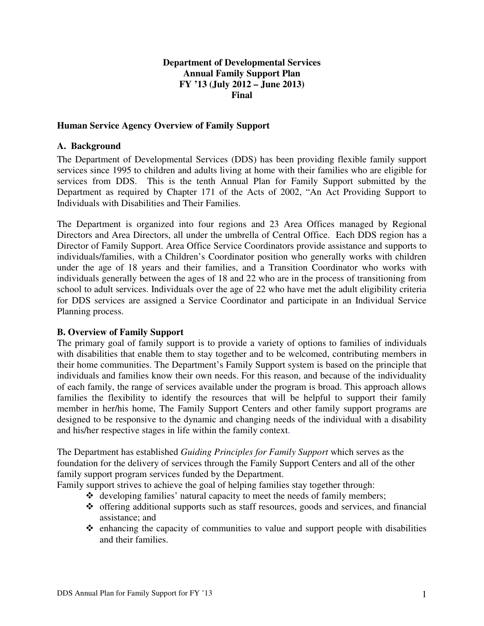## **Department of Developmental Services Annual Family Support Plan FY '13 (July 2012 – June 2013) Final**

#### **Human Service Agency Overview of Family Support**

#### **A. Background**

The Department of Developmental Services (DDS) has been providing flexible family support services since 1995 to children and adults living at home with their families who are eligible for services from DDS. This is the tenth Annual Plan for Family Support submitted by the Department as required by Chapter 171 of the Acts of 2002, "An Act Providing Support to Individuals with Disabilities and Their Families.

The Department is organized into four regions and 23 Area Offices managed by Regional Directors and Area Directors, all under the umbrella of Central Office. Each DDS region has a Director of Family Support. Area Office Service Coordinators provide assistance and supports to individuals/families, with a Children's Coordinator position who generally works with children under the age of 18 years and their families, and a Transition Coordinator who works with individuals generally between the ages of 18 and 22 who are in the process of transitioning from school to adult services. Individuals over the age of 22 who have met the adult eligibility criteria for DDS services are assigned a Service Coordinator and participate in an Individual Service Planning process.

#### **B. Overview of Family Support**

The primary goal of family support is to provide a variety of options to families of individuals with disabilities that enable them to stay together and to be welcomed, contributing members in their home communities. The Department's Family Support system is based on the principle that individuals and families know their own needs. For this reason, and because of the individuality of each family, the range of services available under the program is broad. This approach allows families the flexibility to identify the resources that will be helpful to support their family member in her/his home, The Family Support Centers and other family support programs are designed to be responsive to the dynamic and changing needs of the individual with a disability and his/her respective stages in life within the family context.

The Department has established *Guiding Principles for Family Support* which serves as the foundation for the delivery of services through the Family Support Centers and all of the other family support program services funded by the Department.

Family support strives to achieve the goal of helping families stay together through:

- developing families' natural capacity to meet the needs of family members;
- $\triangleleft$  offering additional supports such as staff resources, goods and services, and financial assistance; and
- $\triangle$  enhancing the capacity of communities to value and support people with disabilities and their families.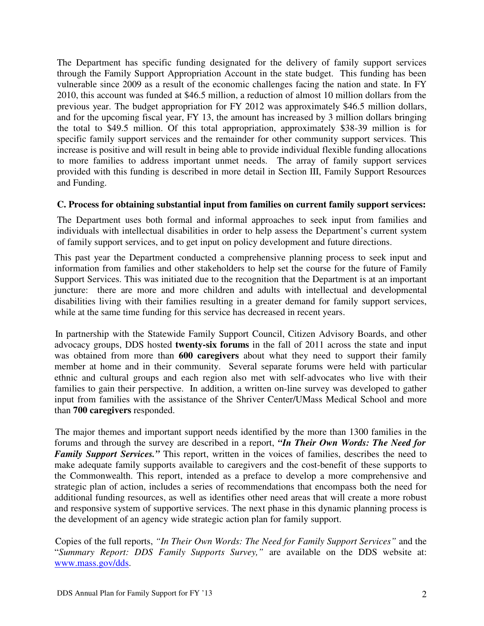The Department has specific funding designated for the delivery of family support services through the Family Support Appropriation Account in the state budget. This funding has been vulnerable since 2009 as a result of the economic challenges facing the nation and state. In FY 2010, this account was funded at \$46.5 million, a reduction of almost 10 million dollars from the previous year. The budget appropriation for FY 2012 was approximately \$46.5 million dollars, and for the upcoming fiscal year, FY 13, the amount has increased by 3 million dollars bringing the total to \$49.5 million. Of this total appropriation, approximately \$38-39 million is for specific family support services and the remainder for other community support services. This increase is positive and will result in being able to provide individual flexible funding allocations to more families to address important unmet needs. The array of family support services provided with this funding is described in more detail in Section III, Family Support Resources and Funding.

## **C. Process for obtaining substantial input from families on current family support services:**

The Department uses both formal and informal approaches to seek input from families and individuals with intellectual disabilities in order to help assess the Department's current system of family support services, and to get input on policy development and future directions.

This past year the Department conducted a comprehensive planning process to seek input and information from families and other stakeholders to help set the course for the future of Family Support Services. This was initiated due to the recognition that the Department is at an important juncture: there are more and more children and adults with intellectual and developmental disabilities living with their families resulting in a greater demand for family support services, while at the same time funding for this service has decreased in recent years.

In partnership with the Statewide Family Support Council, Citizen Advisory Boards, and other advocacy groups, DDS hosted **twenty-six forums** in the fall of 2011 across the state and input was obtained from more than **600 caregivers** about what they need to support their family member at home and in their community. Several separate forums were held with particular ethnic and cultural groups and each region also met with self-advocates who live with their families to gain their perspective. In addition, a written on-line survey was developed to gather input from families with the assistance of the Shriver Center/UMass Medical School and more than **700 caregivers** responded.

The major themes and important support needs identified by the more than 1300 families in the forums and through the survey are described in a report, *"In Their Own Words: The Need for Family Support Services."* This report, written in the voices of families, describes the need to make adequate family supports available to caregivers and the cost-benefit of these supports to the Commonwealth. This report, intended as a preface to develop a more comprehensive and strategic plan of action, includes a series of recommendations that encompass both the need for additional funding resources, as well as identifies other need areas that will create a more robust and responsive system of supportive services. The next phase in this dynamic planning process is the development of an agency wide strategic action plan for family support.

Copies of the full reports, *"In Their Own Words: The Need for Family Support Services"* and the "*Summary Report: DDS Family Supports Survey,"* are available on the DDS website at: www.mass.gov/dds.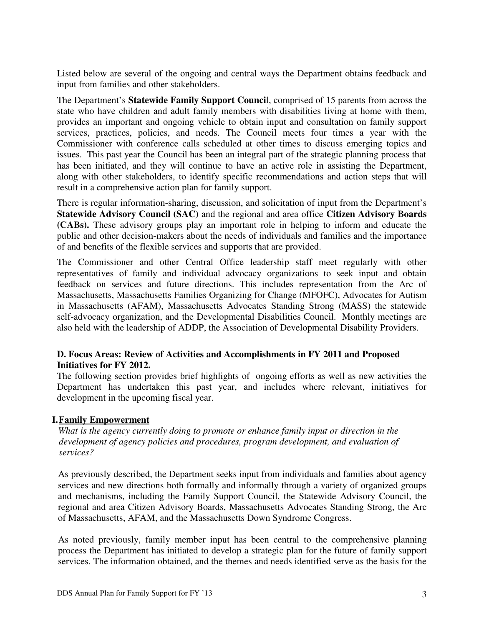Listed below are several of the ongoing and central ways the Department obtains feedback and input from families and other stakeholders.

The Department's **Statewide Family Support Counci**l, comprised of 15 parents from across the state who have children and adult family members with disabilities living at home with them, provides an important and ongoing vehicle to obtain input and consultation on family support services, practices, policies, and needs. The Council meets four times a year with the Commissioner with conference calls scheduled at other times to discuss emerging topics and issues. This past year the Council has been an integral part of the strategic planning process that has been initiated, and they will continue to have an active role in assisting the Department, along with other stakeholders, to identify specific recommendations and action steps that will result in a comprehensive action plan for family support.

There is regular information-sharing, discussion, and solicitation of input from the Department's **Statewide Advisory Council (SAC)** and the regional and area office **Citizen Advisory Boards (CABs).** These advisory groups play an important role in helping to inform and educate the public and other decision-makers about the needs of individuals and families and the importance of and benefits of the flexible services and supports that are provided.

The Commissioner and other Central Office leadership staff meet regularly with other representatives of family and individual advocacy organizations to seek input and obtain feedback on services and future directions. This includes representation from the Arc of Massachusetts, Massachusetts Families Organizing for Change (MFOFC), Advocates for Autism in Massachusetts (AFAM), Massachusetts Advocates Standing Strong (MASS) the statewide self-advocacy organization, and the Developmental Disabilities Council. Monthly meetings are also held with the leadership of ADDP, the Association of Developmental Disability Providers.

# **D. Focus Areas: Review of Activities and Accomplishments in FY 2011 and Proposed Initiatives for FY 2012.**

The following section provides brief highlights of ongoing efforts as well as new activities the Department has undertaken this past year, and includes where relevant, initiatives for development in the upcoming fiscal year.

# **I.Family Empowerment**

*What is the agency currently doing to promote or enhance family input or direction in the development of agency policies and procedures, program development, and evaluation of services?*

As previously described, the Department seeks input from individuals and families about agency services and new directions both formally and informally through a variety of organized groups and mechanisms, including the Family Support Council, the Statewide Advisory Council, the regional and area Citizen Advisory Boards, Massachusetts Advocates Standing Strong, the Arc of Massachusetts, AFAM, and the Massachusetts Down Syndrome Congress.

As noted previously, family member input has been central to the comprehensive planning process the Department has initiated to develop a strategic plan for the future of family support services. The information obtained, and the themes and needs identified serve as the basis for the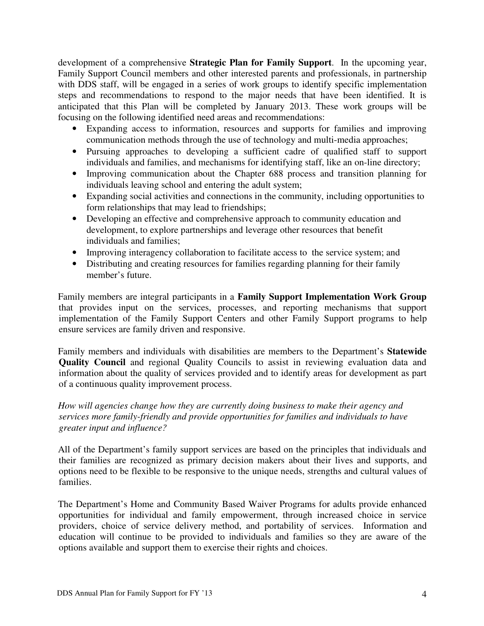development of a comprehensive **Strategic Plan for Family Support**. In the upcoming year, Family Support Council members and other interested parents and professionals, in partnership with DDS staff, will be engaged in a series of work groups to identify specific implementation steps and recommendations to respond to the major needs that have been identified. It is anticipated that this Plan will be completed by January 2013. These work groups will be focusing on the following identified need areas and recommendations:

- Expanding access to information, resources and supports for families and improving communication methods through the use of technology and multi-media approaches;
- Pursuing approaches to developing a sufficient cadre of qualified staff to support individuals and families, and mechanisms for identifying staff, like an on-line directory;
- Improving communication about the Chapter 688 process and transition planning for individuals leaving school and entering the adult system;
- Expanding social activities and connections in the community, including opportunities to form relationships that may lead to friendships;
- Developing an effective and comprehensive approach to community education and development, to explore partnerships and leverage other resources that benefit individuals and families;
- Improving interagency collaboration to facilitate access to the service system; and
- Distributing and creating resources for families regarding planning for their family member's future.

Family members are integral participants in a **Family Support Implementation Work Group**  that provides input on the services, processes, and reporting mechanisms that support implementation of the Family Support Centers and other Family Support programs to help ensure services are family driven and responsive.

Family members and individuals with disabilities are members to the Department's **Statewide Quality Council** and regional Quality Councils to assist in reviewing evaluation data and information about the quality of services provided and to identify areas for development as part of a continuous quality improvement process.

*How will agencies change how they are currently doing business to make their agency and services more family-friendly and provide opportunities for families and individuals to have greater input and influence?*

All of the Department's family support services are based on the principles that individuals and their families are recognized as primary decision makers about their lives and supports, and options need to be flexible to be responsive to the unique needs, strengths and cultural values of families.

The Department's Home and Community Based Waiver Programs for adults provide enhanced opportunities for individual and family empowerment, through increased choice in service providers, choice of service delivery method, and portability of services. Information and education will continue to be provided to individuals and families so they are aware of the options available and support them to exercise their rights and choices.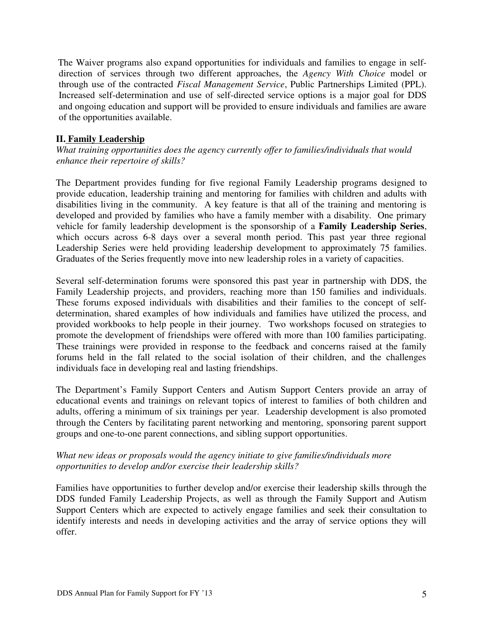The Waiver programs also expand opportunities for individuals and families to engage in selfdirection of services through two different approaches, the *Agency With Choice* model or through use of the contracted *Fiscal Management Service*, Public Partnerships Limited (PPL). Increased self-determination and use of self-directed service options is a major goal for DDS and ongoing education and support will be provided to ensure individuals and families are aware of the opportunities available.

## **II. Family Leadership**

*What training opportunities does the agency currently offer to families/individuals that would enhance their repertoire of skills?*

The Department provides funding for five regional Family Leadership programs designed to provide education, leadership training and mentoring for families with children and adults with disabilities living in the community. A key feature is that all of the training and mentoring is developed and provided by families who have a family member with a disability. One primary vehicle for family leadership development is the sponsorship of a **Family Leadership Series**, which occurs across 6-8 days over a several month period. This past year three regional Leadership Series were held providing leadership development to approximately 75 families. Graduates of the Series frequently move into new leadership roles in a variety of capacities.

Several self-determination forums were sponsored this past year in partnership with DDS, the Family Leadership projects, and providers, reaching more than 150 families and individuals. These forums exposed individuals with disabilities and their families to the concept of selfdetermination, shared examples of how individuals and families have utilized the process, and provided workbooks to help people in their journey. Two workshops focused on strategies to promote the development of friendships were offered with more than 100 families participating. These trainings were provided in response to the feedback and concerns raised at the family forums held in the fall related to the social isolation of their children, and the challenges individuals face in developing real and lasting friendships.

The Department's Family Support Centers and Autism Support Centers provide an array of educational events and trainings on relevant topics of interest to families of both children and adults, offering a minimum of six trainings per year. Leadership development is also promoted through the Centers by facilitating parent networking and mentoring, sponsoring parent support groups and one-to-one parent connections, and sibling support opportunities.

## *What new ideas or proposals would the agency initiate to give families/individuals more opportunities to develop and/or exercise their leadership skills?*

Families have opportunities to further develop and/or exercise their leadership skills through the DDS funded Family Leadership Projects, as well as through the Family Support and Autism Support Centers which are expected to actively engage families and seek their consultation to identify interests and needs in developing activities and the array of service options they will offer.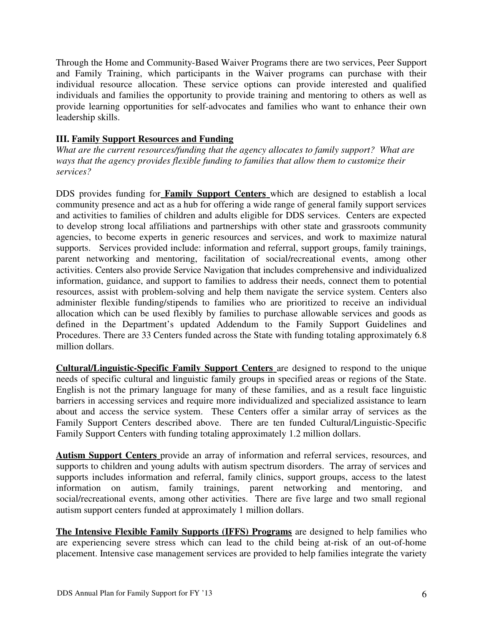Through the Home and Community-Based Waiver Programs there are two services, Peer Support and Family Training, which participants in the Waiver programs can purchase with their individual resource allocation. These service options can provide interested and qualified individuals and families the opportunity to provide training and mentoring to others as well as provide learning opportunities for self-advocates and families who want to enhance their own leadership skills.

## **III. Family Support Resources and Funding**

*What are the current resources/funding that the agency allocates to family support? What are ways that the agency provides flexible funding to families that allow them to customize their services?* 

DDS provides funding for **Family Support Centers** which are designed to establish a local community presence and act as a hub for offering a wide range of general family support services and activities to families of children and adults eligible for DDS services. Centers are expected to develop strong local affiliations and partnerships with other state and grassroots community agencies, to become experts in generic resources and services, and work to maximize natural supports. Services provided include: information and referral, support groups, family trainings, parent networking and mentoring, facilitation of social/recreational events, among other activities. Centers also provide Service Navigation that includes comprehensive and individualized information, guidance, and support to families to address their needs, connect them to potential resources, assist with problem-solving and help them navigate the service system. Centers also administer flexible funding/stipends to families who are prioritized to receive an individual allocation which can be used flexibly by families to purchase allowable services and goods as defined in the Department's updated Addendum to the Family Support Guidelines and Procedures. There are 33 Centers funded across the State with funding totaling approximately 6.8 million dollars.

**Cultural/Linguistic-Specific Family Support Centers** are designed to respond to the unique needs of specific cultural and linguistic family groups in specified areas or regions of the State. English is not the primary language for many of these families, and as a result face linguistic barriers in accessing services and require more individualized and specialized assistance to learn about and access the service system. These Centers offer a similar array of services as the Family Support Centers described above. There are ten funded Cultural/Linguistic-Specific Family Support Centers with funding totaling approximately 1.2 million dollars.

 **Autism Support Centers** provide an array of information and referral services, resources, and supports to children and young adults with autism spectrum disorders. The array of services and supports includes information and referral, family clinics, support groups, access to the latest information on autism, family trainings, parent networking and mentoring, and social/recreational events, among other activities. There are five large and two small regional autism support centers funded at approximately 1 million dollars.

**The Intensive Flexible Family Supports (IFFS) Programs** are designed to help families who are experiencing severe stress which can lead to the child being at-risk of an out-of-home placement. Intensive case management services are provided to help families integrate the variety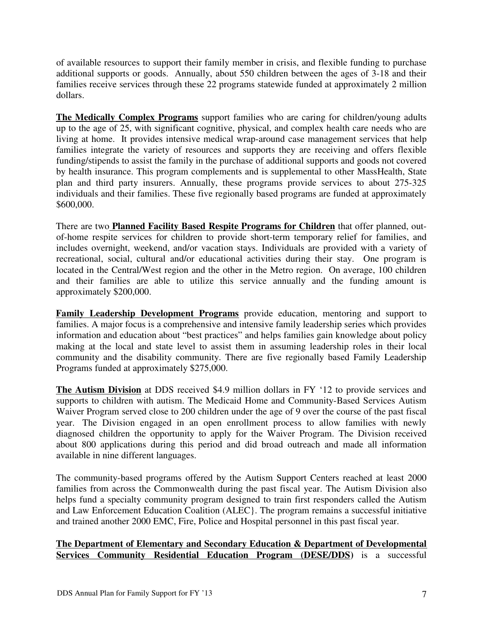of available resources to support their family member in crisis, and flexible funding to purchase additional supports or goods. Annually, about 550 children between the ages of 3-18 and their families receive services through these 22 programs statewide funded at approximately 2 million dollars.

**The Medically Complex Programs** support families who are caring for children/young adults up to the age of 25, with significant cognitive, physical, and complex health care needs who are living at home. It provides intensive medical wrap-around case management services that help families integrate the variety of resources and supports they are receiving and offers flexible funding/stipends to assist the family in the purchase of additional supports and goods not covered by health insurance. This program complements and is supplemental to other MassHealth, State plan and third party insurers. Annually, these programs provide services to about 275-325 individuals and their families. These five regionally based programs are funded at approximately \$600,000.

There are two **Planned Facility Based Respite Programs for Children** that offer planned, outof-home respite services for children to provide short-term temporary relief for families, and includes overnight, weekend, and/or vacation stays. Individuals are provided with a variety of recreational, social, cultural and/or educational activities during their stay. One program is located in the Central/West region and the other in the Metro region. On average, 100 children and their families are able to utilize this service annually and the funding amount is approximately \$200,000.

**Family Leadership Development Programs** provide education, mentoring and support to families. A major focus is a comprehensive and intensive family leadership series which provides information and education about "best practices" and helps families gain knowledge about policy making at the local and state level to assist them in assuming leadership roles in their local community and the disability community. There are five regionally based Family Leadership Programs funded at approximately \$275,000.

 **The Autism Division** at DDS received \$4.9 million dollars in FY '12 to provide services and supports to children with autism. The Medicaid Home and Community-Based Services Autism Waiver Program served close to 200 children under the age of 9 over the course of the past fiscal year. The Division engaged in an open enrollment process to allow families with newly diagnosed children the opportunity to apply for the Waiver Program. The Division received about 800 applications during this period and did broad outreach and made all information available in nine different languages.

The community-based programs offered by the Autism Support Centers reached at least 2000 families from across the Commonwealth during the past fiscal year. The Autism Division also helps fund a specialty community program designed to train first responders called the Autism and Law Enforcement Education Coalition (ALEC}. The program remains a successful initiative and trained another 2000 EMC, Fire, Police and Hospital personnel in this past fiscal year.

# **The Department of Elementary and Secondary Education & Department of Developmental Services Community Residential Education Program (DESE/DDS)** is a successful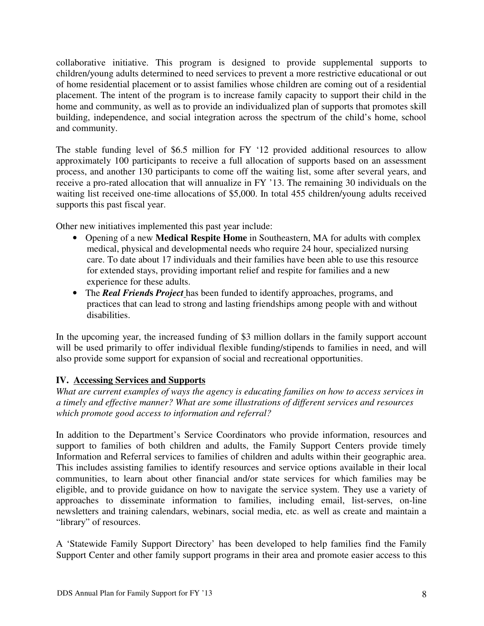collaborative initiative. This program is designed to provide supplemental supports to children/young adults determined to need services to prevent a more restrictive educational or out of home residential placement or to assist families whose children are coming out of a residential placement. The intent of the program is to increase family capacity to support their child in the home and community, as well as to provide an individualized plan of supports that promotes skill building, independence, and social integration across the spectrum of the child's home, school and community.

The stable funding level of \$6.5 million for FY '12 provided additional resources to allow approximately 100 participants to receive a full allocation of supports based on an assessment process, and another 130 participants to come off the waiting list, some after several years, and receive a pro-rated allocation that will annualize in FY '13. The remaining 30 individuals on the waiting list received one-time allocations of \$5,000. In total 455 children/young adults received supports this past fiscal year.

Other new initiatives implemented this past year include:

- Opening of a new **Medical Respite Home** in Southeastern, MA for adults with complex medical, physical and developmental needs who require 24 hour, specialized nursing care. To date about 17 individuals and their families have been able to use this resource for extended stays, providing important relief and respite for families and a new experience for these adults.
- The *Real Friend***s** *Project* has been funded to identify approaches, programs, and practices that can lead to strong and lasting friendships among people with and without disabilities.

In the upcoming year, the increased funding of \$3 million dollars in the family support account will be used primarily to offer individual flexible funding/stipends to families in need, and will also provide some support for expansion of social and recreational opportunities.

# **IV. Accessing Services and Supports**

*What are current examples of ways the agency is educating families on how to access services in a timely and effective manner? What are some illustrations of different services and resources which promote good access to information and referral?*

In addition to the Department's Service Coordinators who provide information, resources and support to families of both children and adults, the Family Support Centers provide timely Information and Referral services to families of children and adults within their geographic area. This includes assisting families to identify resources and service options available in their local communities, to learn about other financial and/or state services for which families may be eligible, and to provide guidance on how to navigate the service system. They use a variety of approaches to disseminate information to families, including email, list-serves, on-line newsletters and training calendars, webinars, social media, etc. as well as create and maintain a "library" of resources.

A 'Statewide Family Support Directory' has been developed to help families find the Family Support Center and other family support programs in their area and promote easier access to this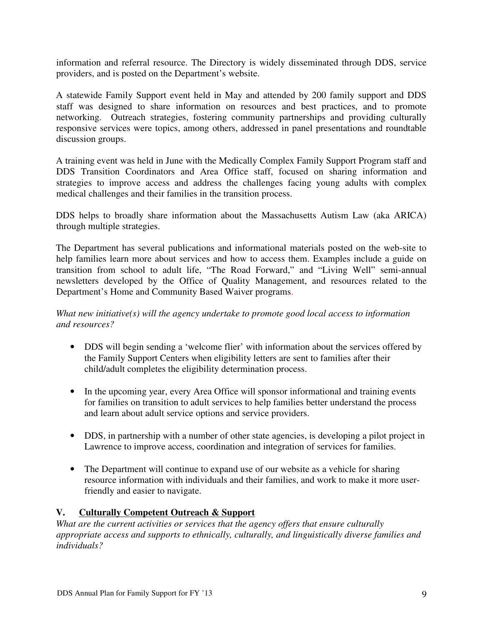information and referral resource. The Directory is widely disseminated through DDS, service providers, and is posted on the Department's website.

A statewide Family Support event held in May and attended by 200 family support and DDS staff was designed to share information on resources and best practices, and to promote networking. Outreach strategies, fostering community partnerships and providing culturally responsive services were topics, among others, addressed in panel presentations and roundtable discussion groups.

A training event was held in June with the Medically Complex Family Support Program staff and DDS Transition Coordinators and Area Office staff, focused on sharing information and strategies to improve access and address the challenges facing young adults with complex medical challenges and their families in the transition process.

DDS helps to broadly share information about the Massachusetts Autism Law (aka ARICA) through multiple strategies.

The Department has several publications and informational materials posted on the web-site to help families learn more about services and how to access them. Examples include a guide on transition from school to adult life, "The Road Forward," and "Living Well" semi-annual newsletters developed by the Office of Quality Management, and resources related to the Department's Home and Community Based Waiver programs.

# *What new initiative(s) will the agency undertake to promote good local access to information and resources?*

- DDS will begin sending a 'welcome flier' with information about the services offered by the Family Support Centers when eligibility letters are sent to families after their child/adult completes the eligibility determination process.
- In the upcoming year, every Area Office will sponsor informational and training events for families on transition to adult services to help families better understand the process and learn about adult service options and service providers.
- DDS, in partnership with a number of other state agencies, is developing a pilot project in Lawrence to improve access, coordination and integration of services for families.
- The Department will continue to expand use of our website as a vehicle for sharing resource information with individuals and their families, and work to make it more userfriendly and easier to navigate.

# **V. Culturally Competent Outreach & Support**

*What are the current activities or services that the agency offers that ensure culturally appropriate access and supports to ethnically, culturally, and linguistically diverse families and individuals?*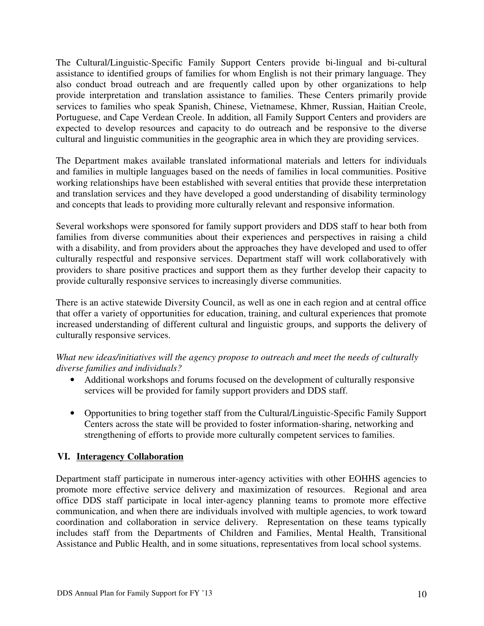The Cultural/Linguistic-Specific Family Support Centers provide bi-lingual and bi-cultural assistance to identified groups of families for whom English is not their primary language. They also conduct broad outreach and are frequently called upon by other organizations to help provide interpretation and translation assistance to families. These Centers primarily provide services to families who speak Spanish, Chinese, Vietnamese, Khmer, Russian, Haitian Creole, Portuguese, and Cape Verdean Creole. In addition, all Family Support Centers and providers are expected to develop resources and capacity to do outreach and be responsive to the diverse cultural and linguistic communities in the geographic area in which they are providing services.

The Department makes available translated informational materials and letters for individuals and families in multiple languages based on the needs of families in local communities. Positive working relationships have been established with several entities that provide these interpretation and translation services and they have developed a good understanding of disability terminology and concepts that leads to providing more culturally relevant and responsive information.

Several workshops were sponsored for family support providers and DDS staff to hear both from families from diverse communities about their experiences and perspectives in raising a child with a disability, and from providers about the approaches they have developed and used to offer culturally respectful and responsive services. Department staff will work collaboratively with providers to share positive practices and support them as they further develop their capacity to provide culturally responsive services to increasingly diverse communities.

There is an active statewide Diversity Council, as well as one in each region and at central office that offer a variety of opportunities for education, training, and cultural experiences that promote increased understanding of different cultural and linguistic groups, and supports the delivery of culturally responsive services.

# *What new ideas/initiatives will the agency propose to outreach and meet the needs of culturally diverse families and individuals?*

- Additional workshops and forums focused on the development of culturally responsive services will be provided for family support providers and DDS staff.
- Opportunities to bring together staff from the Cultural/Linguistic-Specific Family Support Centers across the state will be provided to foster information-sharing, networking and strengthening of efforts to provide more culturally competent services to families.

# **VI. Interagency Collaboration**

Department staff participate in numerous inter-agency activities with other EOHHS agencies to promote more effective service delivery and maximization of resources. Regional and area office DDS staff participate in local inter-agency planning teams to promote more effective communication, and when there are individuals involved with multiple agencies, to work toward coordination and collaboration in service delivery. Representation on these teams typically includes staff from the Departments of Children and Families, Mental Health, Transitional Assistance and Public Health, and in some situations, representatives from local school systems.